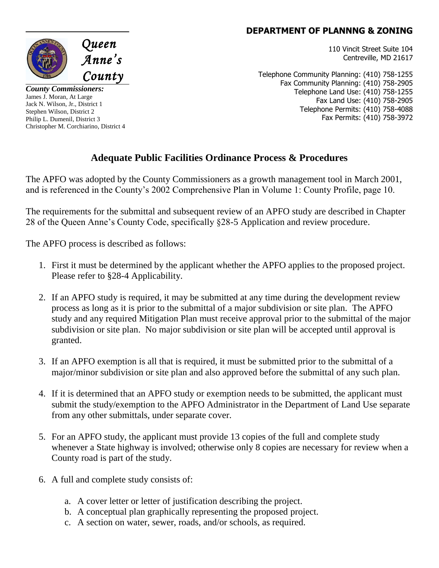## **DEPARTMENT OF PLANNNG & ZONING**

110 Vincit Street Suite 104 Centreville, MD 21617

Telephone Community Planning: (410) 758-1255 Fax Community Planning: (410) 758-2905 Telephone Land Use: (410) 758-1255 Fax Land Use: (410) 758-2905 Telephone Permits: (410) 758-4088 Fax Permits: (410) 758-3972

## **Adequate Public Facilities Ordinance Process & Procedures**

The APFO was adopted by the County Commissioners as a growth management tool in March 2001, and is referenced in the County's 2002 Comprehensive Plan in Volume 1: County Profile, page 10.

The requirements for the submittal and subsequent review of an APFO study are described in Chapter 28 of the Queen Anne's County Code, specifically §28-5 Application and review procedure.

The APFO process is described as follows:

- 1. First it must be determined by the applicant whether the APFO applies to the proposed project. Please refer to §28-4 Applicability.
- 2. If an APFO study is required, it may be submitted at any time during the development review process as long as it is prior to the submittal of a major subdivision or site plan. The APFO study and any required Mitigation Plan must receive approval prior to the submittal of the major subdivision or site plan. No major subdivision or site plan will be accepted until approval is granted.
- 3. If an APFO exemption is all that is required, it must be submitted prior to the submittal of a major/minor subdivision or site plan and also approved before the submittal of any such plan.
- 4. If it is determined that an APFO study or exemption needs to be submitted, the applicant must submit the study/exemption to the APFO Administrator in the Department of Land Use separate from any other submittals, under separate cover.
- 5. For an APFO study, the applicant must provide 13 copies of the full and complete study whenever a State highway is involved; otherwise only 8 copies are necessary for review when a County road is part of the study.
- 6. A full and complete study consists of:
	- a. A cover letter or letter of justification describing the project.
	- b. A conceptual plan graphically representing the proposed project.
	- c. A section on water, sewer, roads, and/or schools, as required.



*County Commissioners:* James J. Moran, At Large Jack N. Wilson, Jr., District 1 Stephen Wilson, District 2 Philip L. Dumenil, District 3 Christopher M. Corchiarino, District 4